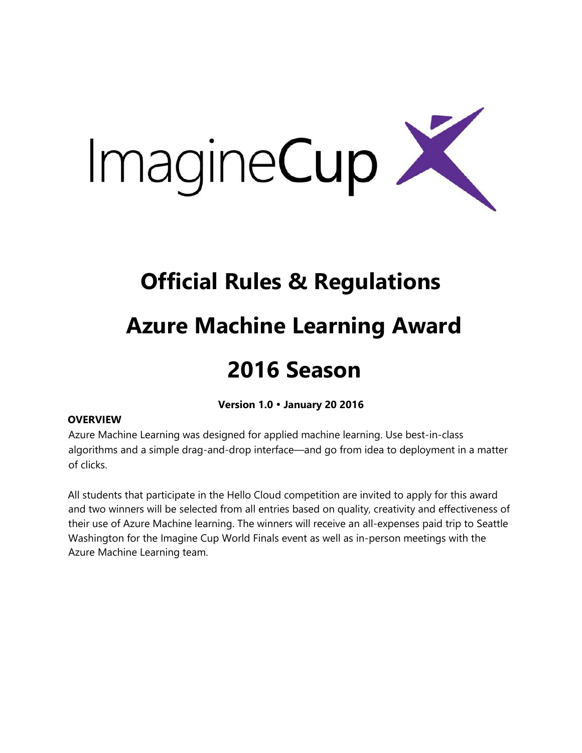

# **Official Rules & Regulations**

### **Azure Machine Learning Award**

## **2016 Season**

**Version 1.0 January 20 2016**

### **OVERVIEW**

Azure Machine Learning was designed for applied machine learning. Use best-in-class algorithms and a simple drag-and-drop interface—and go from idea to deployment in a matter of clicks.

All students that participate in the Hello Cloud competition are invited to apply for this award and two winners will be selected from all entries based on quality, creativity and effectiveness of their use of Azure Machine learning. The winners will receive an all-expenses paid trip to Seattle Washington for the Imagine Cup World Finals event as well as in-person meetings with the Azure Machine Learning team.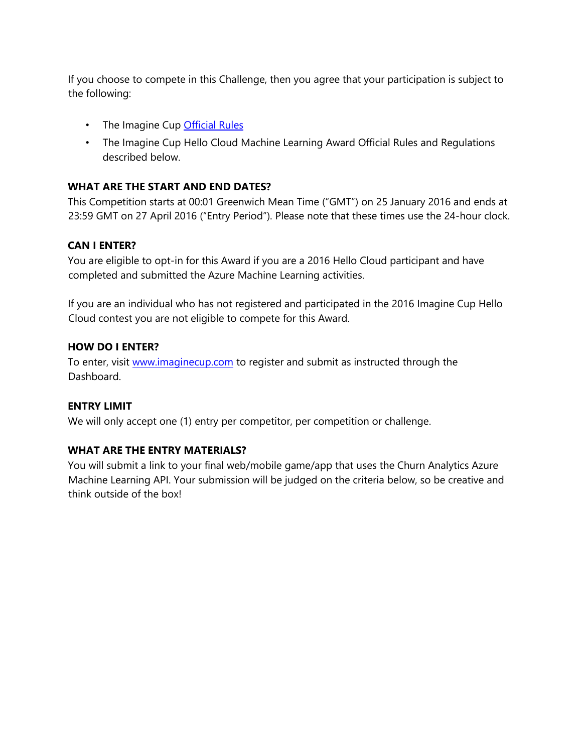If you choose to compete in this Challenge, then you agree that your participation is subject to the following:

- The Imagine Cup **Official Rules**
- The Imagine Cup Hello Cloud Machine Learning Award Official Rules and Regulations described below.

#### **WHAT ARE THE START AND END DATES?**

This Competition starts at 00:01 Greenwich Mean Time ("GMT") on 25 January 2016 and ends at 23:59 GMT on 27 April 2016 ("Entry Period"). Please note that these times use the 24-hour clock.

#### **CAN I ENTER?**

You are eligible to opt-in for this Award if you are a 2016 Hello Cloud participant and have completed and submitted the Azure Machine Learning activities.

If you are an individual who has not registered and participated in the 2016 Imagine Cup Hello Cloud contest you are not eligible to compete for this Award.

#### **HOW DO I ENTER?**

To enter, visit [www.imaginecup.com](http://www.imaginecup.com/) to register and submit as instructed through the Dashboard.

#### **ENTRY LIMIT**

We will only accept one (1) entry per competitor, per competition or challenge.

#### **WHAT ARE THE ENTRY MATERIALS?**

You will submit a link to your final web/mobile game/app that uses the Churn Analytics Azure Machine Learning API. Your submission will be judged on the criteria below, so be creative and think outside of the box!